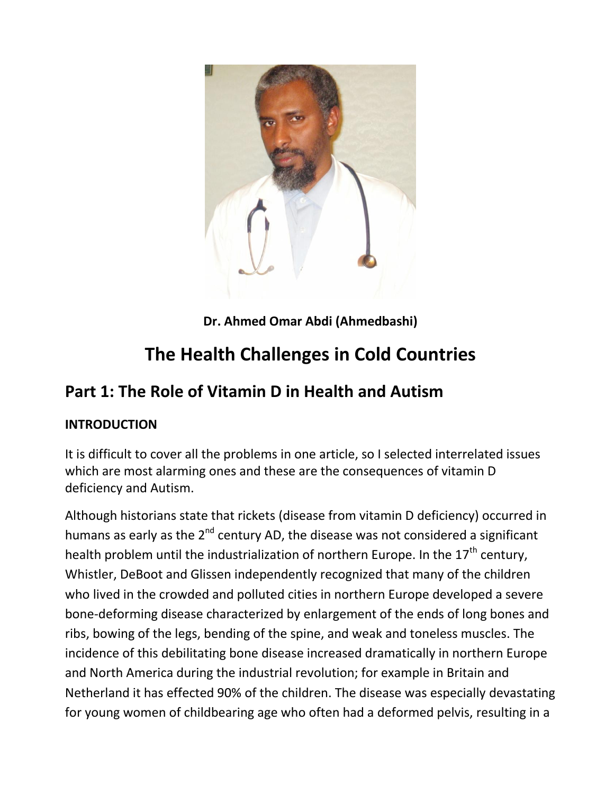

**Dr. Ahmed Omar Abdi (Ahmedbashi)**

# **The Health Challenges in Cold Countries**

# **Part 1: The Role of Vitamin D in Health and Autism**

#### **INTRODUCTION**

It is difficult to cover all the problems in one article, so I selected interrelated issues which are most alarming ones and these are the consequences of vitamin D deficiency and Autism.

Although historians state that rickets (disease from vitamin D deficiency) occurred in humans as early as the  $2^{nd}$  century AD, the disease was not considered a significant health problem until the industrialization of northern Europe. In the  $17<sup>th</sup>$  century, Whistler, DeBoot and Glissen independently recognized that many of the children who lived in the crowded and polluted cities in northern Europe developed a severe bone-deforming disease characterized by enlargement of the ends of long bones and ribs, bowing of the legs, bending of the spine, and weak and toneless muscles. The incidence of this debilitating bone disease increased dramatically in northern Europe and North America during the industrial revolution; for example in Britain and Netherland it has effected 90% of the children. The disease was especially devastating for young women of childbearing age who often had a deformed pelvis, resulting in a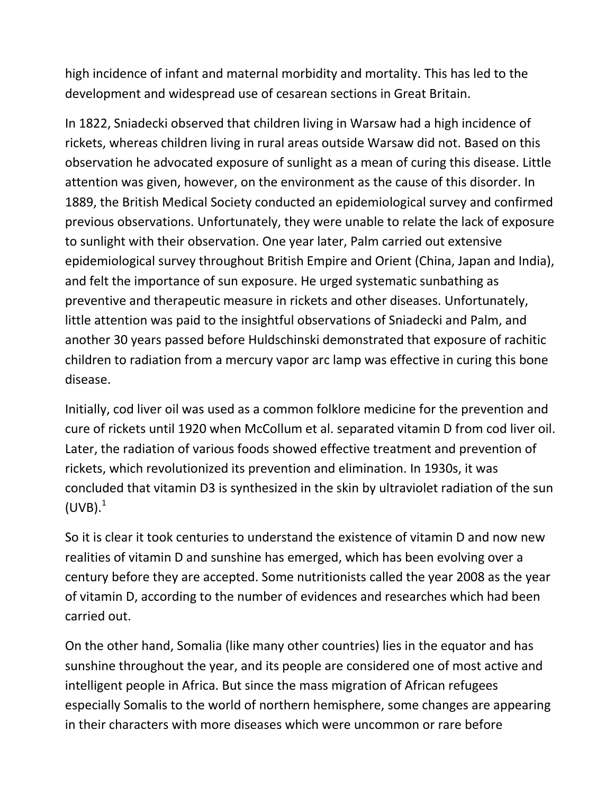high incidence of infant and maternal morbidity and mortality. This has led to the development and widespread use of cesarean sections in Great Britain.

In 1822, Sniadecki observed that children living in Warsaw had a high incidence of rickets, whereas children living in rural areas outside Warsaw did not. Based on this observation he advocated exposure of sunlight as a mean of curing this disease. Little attention was given, however, on the environment as the cause of this disorder. In 1889, the British Medical Society conducted an epidemiological survey and confirmed previous observations. Unfortunately, they were unable to relate the lack of exposure to sunlight with their observation. One year later, Palm carried out extensive epidemiological survey throughout British Empire and Orient (China, Japan and India), and felt the importance of sun exposure. He urged systematic sunbathing as preventive and therapeutic measure in rickets and other diseases. Unfortunately, little attention was paid to the insightful observations of Sniadecki and Palm, and another 30 years passed before Huldschinski demonstrated that exposure of rachitic children to radiation from a mercury vapor arc lamp was effective in curing this bone disease.

Initially, cod liver oil was used as a common folklore medicine for the prevention and cure of rickets until 1920 when McCollum et al. separated vitamin D from cod liver oil. Later, the radiation of various foods showed effective treatment and prevention of rickets, which revolutionized its prevention and elimination. In 1930s, it was concluded that vitamin D3 is synthesized in the skin by ultraviolet radiation of the sun  $(UVB).<sup>1</sup>$ 

So it is clear it took centuries to understand the existence of vitamin D and now new realities of vitamin D and sunshine has emerged, which has been evolving over a century before they are accepted. Some nutritionists called the year 2008 as the year of vitamin D, according to the number of evidences and researches which had been carried out.

On the other hand, Somalia (like many other countries) lies in the equator and has sunshine throughout the year, and its people are considered one of most active and intelligent people in Africa. But since the mass migration of African refugees especially Somalis to the world of northern hemisphere, some changes are appearing in their characters with more diseases which were uncommon or rare before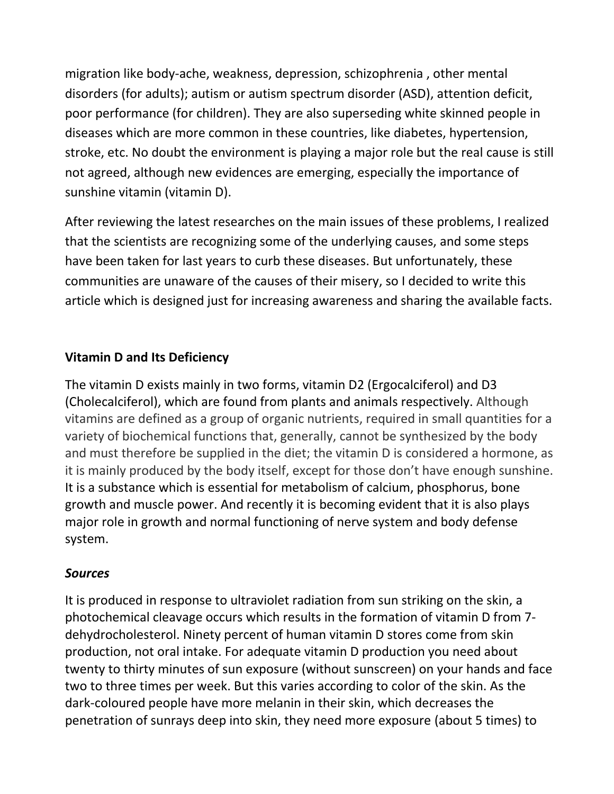migration like body-ache, weakness, depression, schizophrenia , other mental disorders (for adults); autism or autism spectrum disorder (ASD), attention deficit, poor performance (for children). They are also superseding white skinned people in diseases which are more common in these countries, like diabetes, hypertension, stroke, etc. No doubt the environment is playing a major role but the real cause is still not agreed, although new evidences are emerging, especially the importance of sunshine vitamin (vitamin D).

After reviewing the latest researches on the main issues of these problems, I realized that the scientists are recognizing some of the underlying causes, and some steps have been taken for last years to curb these diseases. But unfortunately, these communities are unaware of the causes of their misery, so I decided to write this article which is designed just for increasing awareness and sharing the available facts.

### **Vitamin D and Its Deficiency**

The vitamin D exists mainly in two forms, vitamin D2 (Ergocalciferol) and D3 (Cholecalciferol), which are found from plants and animals respectively. Although vitamins are defined as a group of organic nutrients, required in small quantities for a variety of biochemical functions that, generally, cannot be synthesized by the body and must therefore be supplied in the diet; the vitamin D is considered a hormone, as it is mainly produced by the body itself, except for those don't have enough sunshine. It is a substance which is essential for metabolism of calcium, phosphorus, bone growth and muscle power. And recently it is becoming evident that it is also plays major role in growth and normal functioning of nerve system and body defense system.

#### *Sources*

It is produced in response to ultraviolet radiation from sun striking on the skin, a photochemical cleavage occurs which results in the formation of vitamin D from 7 dehydrocholesterol. Ninety percent of human vitamin D stores come from skin production, not oral intake. For adequate vitamin D production you need about twenty to thirty minutes of sun exposure (without sunscreen) on your hands and face two to three times per week. But this varies according to color of the skin. As the dark-coloured people have more melanin in their skin, which decreases the penetration of sunrays deep into skin, they need more exposure (about 5 times) to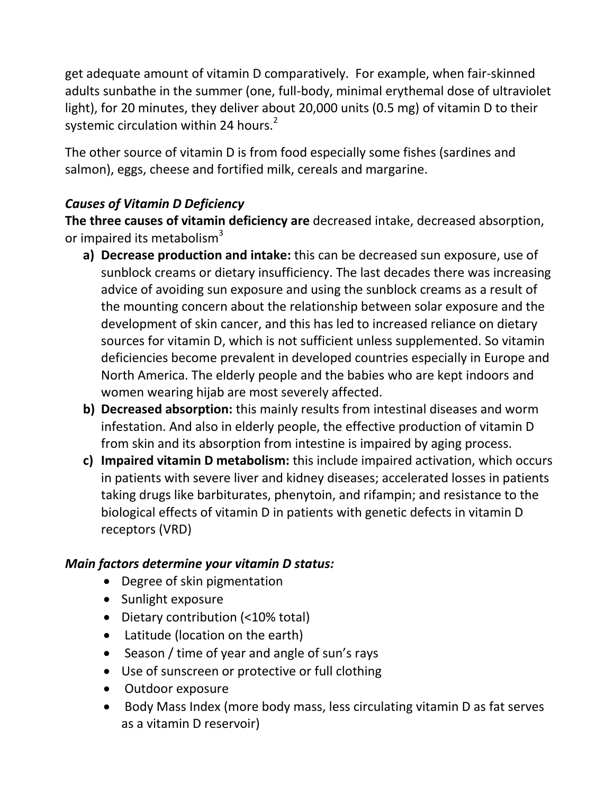get adequate amount of vitamin D comparatively. For example, when fair-skinned adults sunbathe in the summer (one, full-body, minimal erythemal dose of ultraviolet light), for 20 minutes, they deliver about 20,000 units (0.5 mg) of vitamin D to their systemic circulation within 24 hours.<sup>2</sup>

The other source of vitamin D is from food especially some fishes (sardines and salmon), eggs, cheese and fortified milk, cereals and margarine.

# *Causes of Vitamin D Deficiency*

**The three causes of vitamin deficiency are** decreased intake, decreased absorption, or impaired its metabolism<sup>3</sup>

- **a) Decrease production and intake:** this can be decreased sun exposure, use of sunblock creams or dietary insufficiency. The last decades there was increasing advice of avoiding sun exposure and using the sunblock creams as a result of the mounting concern about the relationship between solar exposure and the development of skin cancer, and this has led to increased reliance on dietary sources for vitamin D, which is not sufficient unless supplemented. So vitamin deficiencies become prevalent in developed countries especially in Europe and North America. The elderly people and the babies who are kept indoors and women wearing hijab are most severely affected.
- **b) Decreased absorption:** this mainly results from intestinal diseases and worm infestation. And also in elderly people, the effective production of vitamin D from skin and its absorption from intestine is impaired by aging process.
- **c) Impaired vitamin D metabolism:** this include impaired activation, which occurs in patients with severe liver and kidney diseases; accelerated losses in patients taking drugs like barbiturates, phenytoin, and rifampin; and resistance to the biological effects of vitamin D in patients with genetic defects in vitamin D receptors (VRD)

#### *Main factors determine your vitamin D status:*

- Degree of skin pigmentation
- Sunlight exposure
- Dietary contribution (<10% total)
- Latitude (location on the earth)
- Season / time of year and angle of sun's rays
- Use of sunscreen or protective or full clothing
- Outdoor exposure
- Body Mass Index (more body mass, less circulating vitamin D as fat serves as a vitamin D reservoir)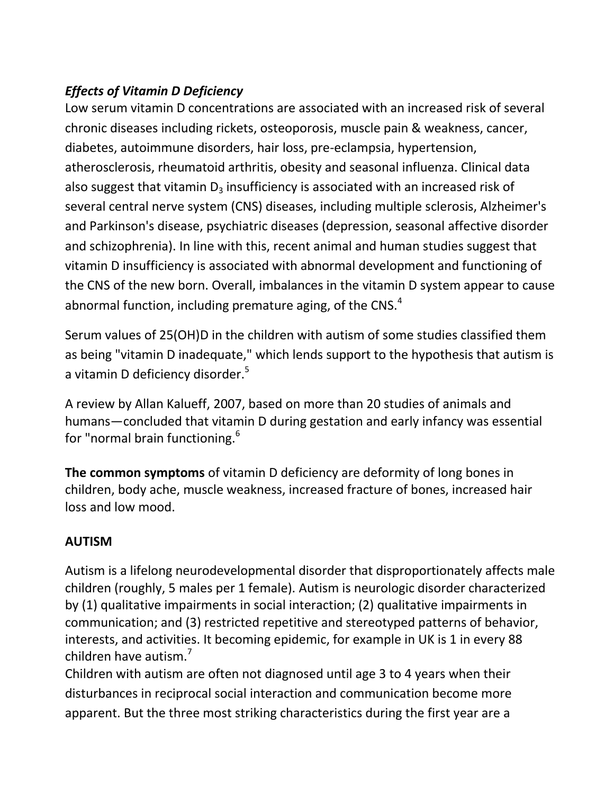# *Effects of Vitamin D Deficiency*

Low serum vitamin D concentrations are associated with an increased risk of several chronic diseases including rickets, osteoporosis, muscle pain & weakness, cancer, diabetes, autoimmune disorders, hair loss, pre-eclampsia, hypertension, atherosclerosis, rheumatoid arthritis, obesity and seasonal influenza. Clinical data also suggest that vitamin  $D_3$  insufficiency is associated with an increased risk of several central nerve system (CNS) diseases, including multiple sclerosis, Alzheimer's and Parkinson's disease, psychiatric diseases (depression, seasonal affective disorder and schizophrenia). In line with this, recent animal and human studies suggest that vitamin D insufficiency is associated with abnormal development and functioning of the CNS of the new born. Overall, imbalances in the vitamin D system appear to cause abnormal function, including premature aging, of the  $CNS.<sup>4</sup>$ 

Serum values of 25(OH)D in the children with autism of some studies classified them as being "vitamin D inadequate," which lends support to the hypothesis that autism is a vitamin D deficiency disorder.<sup>5</sup>

A review by Allan Kalueff, 2007, based on more than 20 studies of animals and humans—concluded that vitamin D during gestation and early infancy was essential for "normal brain functioning.<sup>6</sup>

**The common symptoms** of vitamin D deficiency are deformity of long bones in children, body ache, muscle weakness, increased fracture of bones, increased hair loss and low mood.

# **AUTISM**

Autism is a lifelong neurodevelopmental disorder that disproportionately affects male children (roughly, 5 males per 1 female). Autism is neurologic disorder characterized by (1) qualitative impairments in social interaction; (2) qualitative impairments in communication; and (3) restricted repetitive and stereotyped patterns of behavior, interests, and activities. It becoming epidemic, for example in UK is 1 in every 88 children have autism.

Children with autism are often not diagnosed until age 3 to 4 years when their disturbances in reciprocal social interaction and communication become more apparent. But the three most striking characteristics during the first year are a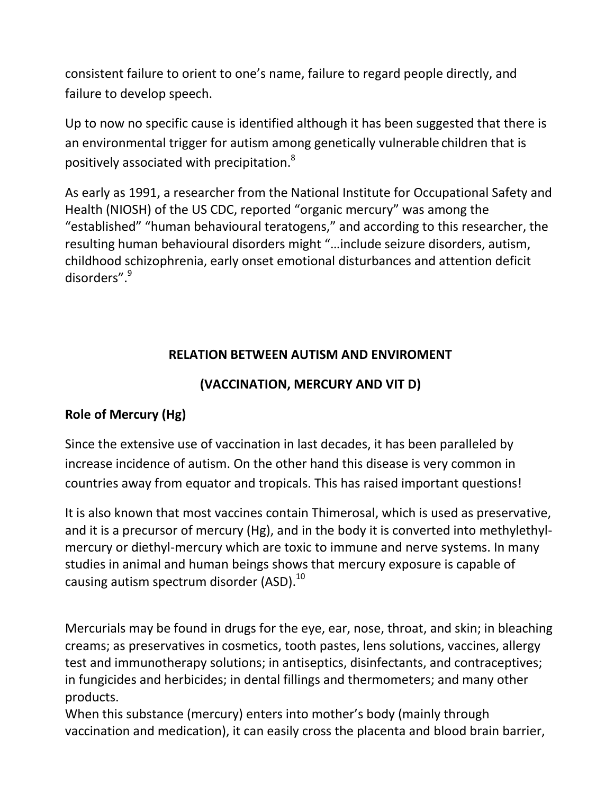consistent failure to orient to one's name, failure to regard people directly, and failure to develop speech.

Up to now no specific cause is identified although it has been suggested that there is an environmental trigger for autism among genetically vulnerable children that is positively associated with precipitation.<sup>8</sup>

As early as 1991, a researcher from the National Institute for Occupational Safety and Health (NIOSH) of the US CDC, reported "organic mercury" was among the "established" "human behavioural teratogens," and according to this researcher, the resulting human behavioural disorders might "…include seizure disorders, autism, childhood schizophrenia, early onset emotional disturbances and attention deficit disorders".<sup>9</sup>

# **RELATION BETWEEN AUTISM AND ENVIROMENT**

#### **(VACCINATION, MERCURY AND VIT D)**

#### **Role of Mercury (Hg)**

Since the extensive use of vaccination in last decades, it has been paralleled by increase incidence of autism. On the other hand this disease is very common in countries away from equator and tropicals. This has raised important questions!

It is also known that most vaccines contain Thimerosal, which is used as preservative, and it is a precursor of mercury (Hg), and in the body it is converted into methylethylmercury or diethyl-mercury which are toxic to immune and nerve systems. In many studies in animal and human beings shows that mercury exposure is capable of causing autism spectrum disorder (ASD).<sup>10</sup>

Mercurials may be found in drugs for the eye, ear, nose, throat, and skin; in bleaching creams; as preservatives in cosmetics, tooth pastes, lens solutions, vaccines, allergy test and immunotherapy solutions; in antiseptics, disinfectants, and contraceptives; in fungicides and herbicides; in dental fillings and thermometers; and many other products.

When this substance (mercury) enters into mother's body (mainly through vaccination and medication), it can easily cross the placenta and blood brain barrier,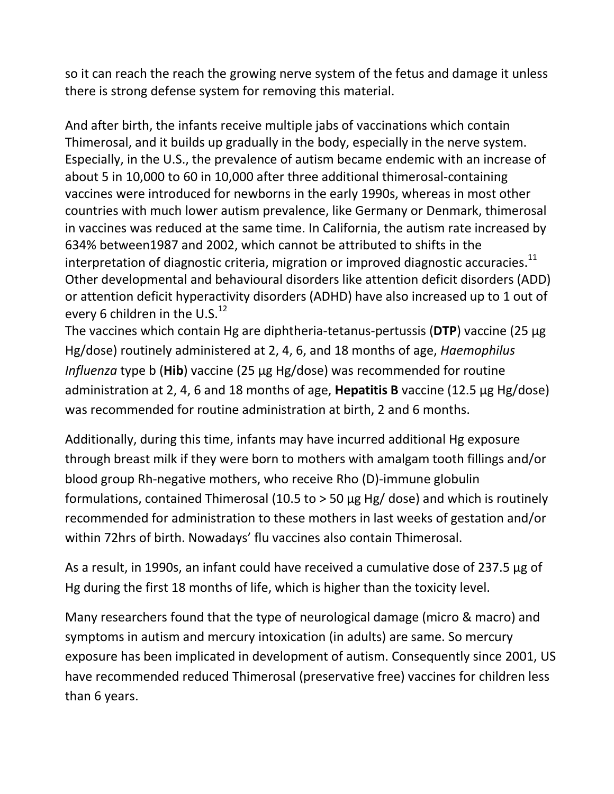so it can reach the reach the growing nerve system of the fetus and damage it unless there is strong defense system for removing this material.

And after birth, the infants receive multiple jabs of vaccinations which contain Thimerosal, and it builds up gradually in the body, especially in the nerve system. Especially, in the U.S., the prevalence of autism became endemic with an increase of about 5 in 10,000 to 60 in 10,000 after three additional thimerosal-containing vaccines were introduced for newborns in the early 1990s, whereas in most other countries with much lower autism prevalence, like Germany or Denmark, thimerosal in vaccines was reduced at the same time. In California, the autism rate increased by 634% between1987 and 2002, which cannot be attributed to shifts in the interpretation of diagnostic criteria, migration or improved diagnostic accuracies. $^{11}$ Other developmental and behavioural disorders like attention deficit disorders (ADD) or attention deficit hyperactivity disorders (ADHD) have also increased up to 1 out of every 6 children in the U.S. $^{12}$ 

The vaccines which contain Hg are diphtheria-tetanus-pertussis (**DTP**) vaccine (25 µg Hg/dose) routinely administered at 2, 4, 6, and 18 months of age, *Haemophilus Influenza* type b (**Hib**) vaccine (25 μg Hg/dose) was recommended for routine administration at 2, 4, 6 and 18 months of age, **Hepatitis B** vaccine (12.5 μg Hg/dose) was recommended for routine administration at birth, 2 and 6 months.

Additionally, during this time, infants may have incurred additional Hg exposure through breast milk if they were born to mothers with amalgam tooth fillings and/or blood group Rh-negative mothers, who receive Rho (D)-immune globulin formulations, contained Thimerosal (10.5 to > 50 μg Hg/ dose) and which is routinely recommended for administration to these mothers in last weeks of gestation and/or within 72hrs of birth. Nowadays' flu vaccines also contain Thimerosal.

As a result, in 1990s, an infant could have received a cumulative dose of 237.5 μg of Hg during the first 18 months of life, which is higher than the toxicity level.

Many researchers found that the type of neurological damage (micro & macro) and symptoms in autism and mercury intoxication (in adults) are same. So mercury exposure has been implicated in development of autism. Consequently since 2001, US have recommended reduced Thimerosal (preservative free) vaccines for children less than 6 years.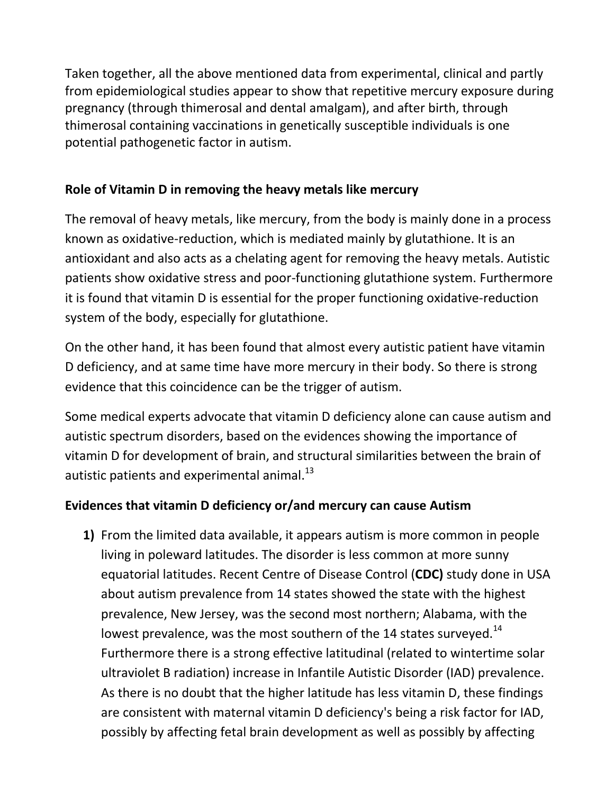Taken together, all the above mentioned data from experimental, clinical and partly from epidemiological studies appear to show that repetitive mercury exposure during pregnancy (through thimerosal and dental amalgam), and after birth, through thimerosal containing vaccinations in genetically susceptible individuals is one potential pathogenetic factor in autism.

# **Role of Vitamin D in removing the heavy metals like mercury**

The removal of heavy metals, like mercury, from the body is mainly done in a process known as oxidative-reduction, which is mediated mainly by glutathione. It is an antioxidant and also acts as a chelating agent for removing the heavy metals. Autistic patients show oxidative stress and poor-functioning glutathione system. Furthermore it is found that vitamin D is essential for the proper functioning oxidative-reduction system of the body, especially for glutathione.

On the other hand, it has been found that almost every autistic patient have vitamin D deficiency, and at same time have more mercury in their body. So there is strong evidence that this coincidence can be the trigger of autism.

Some medical experts advocate that vitamin D deficiency alone can cause autism and autistic spectrum disorders, based on the evidences showing the importance of vitamin D for development of brain, and structural similarities between the brain of autistic patients and experimental animal. $^{13}$ 

#### **Evidences that vitamin D deficiency or/and mercury can cause Autism**

**1)** From the limited data available, it appears autism is more common in people living in poleward latitudes. The disorder is less common at more sunny equatorial latitudes. Recent Centre of Disease Control (**CDC)** study done in USA about autism prevalence from 14 states showed the state with the highest prevalence, New Jersey, was the second most northern; Alabama, with the lowest prevalence, was the most southern of the 14 states surveyed.<sup>14</sup> Furthermore there is a strong effective latitudinal (related to wintertime solar ultraviolet B radiation) increase in Infantile Autistic Disorder (IAD) prevalence. As there is no doubt that the higher latitude has less vitamin D, these findings are consistent with maternal vitamin D deficiency's being a risk factor for IAD, possibly by affecting fetal brain development as well as possibly by affecting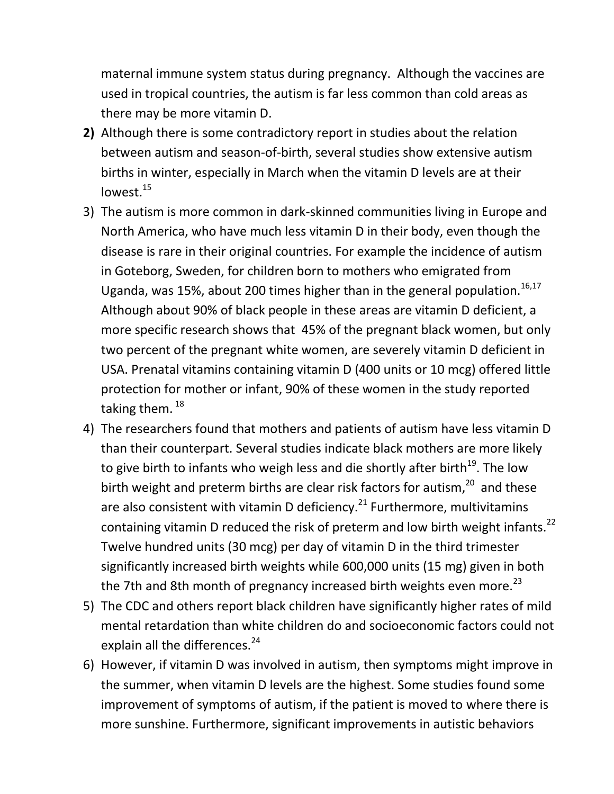maternal immune system status during pregnancy. Although the vaccines are used in tropical countries, the autism is far less common than cold areas as there may be more vitamin D.

- **2)** Although there is some contradictory report in studies about the relation between autism and season-of-birth, several studies show extensive autism births in winter, especially in March when the vitamin D levels are at their lowest.<sup>15</sup>
- 3) The autism is more common in dark-skinned communities living in Europe and North America, who have much less vitamin D in their body, even though the disease is rare in their original countries. For example the incidence of autism in Goteborg, Sweden, for children born to mothers who emigrated from Uganda, was 15%, about 200 times higher than in the general population.<sup>16,17</sup> Although about 90% of black people in these areas are vitamin D deficient, a more specific research shows that 45% of the pregnant black women, but only two percent of the pregnant white women, are severely vitamin D deficient in USA. Prenatal vitamins containing vitamin D (400 units or 10 mcg) offered little protection for mother or infant, 90% of these women in the study reported taking them.<sup>18</sup>
- 4) The researchers found that mothers and patients of autism have less vitamin D than their counterpart. Several studies indicate black mothers are more likely to give birth to infants who weigh less and die shortly after birth<sup>19</sup>. The low birth weight and preterm births are clear risk factors for autism,<sup>20</sup> and these are also consistent with vitamin D deficiency.<sup>21</sup> Furthermore, multivitamins containing vitamin D reduced the risk of preterm and low birth weight infants.<sup>22</sup> Twelve hundred units (30 mcg) per day of vitamin D in the third trimester significantly increased birth weights while 600,000 units (15 mg) given in both the 7th and 8th month of pregnancy increased birth weights even more.<sup>23</sup>
- 5) The CDC and others report black children have significantly higher rates of mild mental retardation than white children do and socioeconomic factors could not explain all the differences.<sup>24</sup>
- 6) However, if vitamin D was involved in autism, then symptoms might improve in the summer, when vitamin D levels are the highest. Some studies found some improvement of symptoms of autism, if the patient is moved to where there is more sunshine. Furthermore, significant improvements in autistic behaviors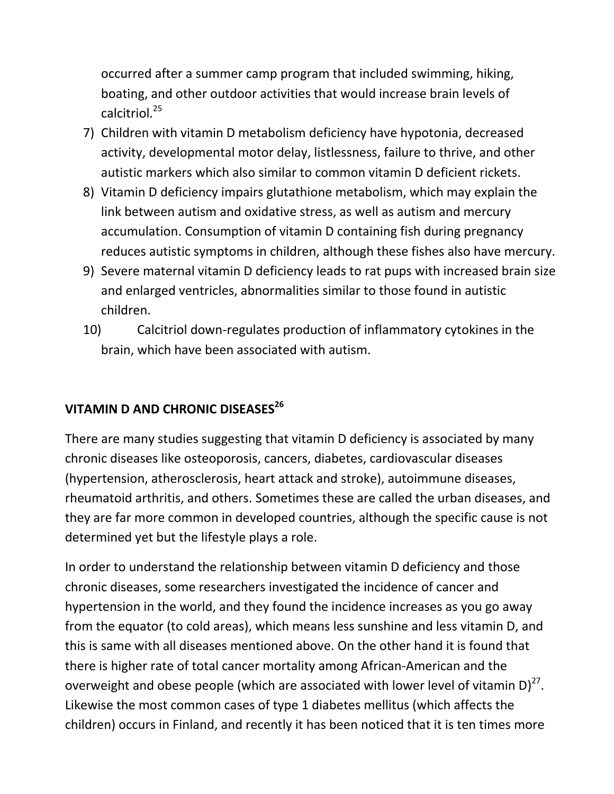occurred after a summer camp program that included swimming, hiking, boating, and other outdoor activities that would increase brain levels of calcitriol.<sup>25</sup>

- 7) Children with vitamin D metabolism deficiency have hypotonia, decreased activity, developmental motor delay, listlessness, failure to thrive, and other autistic markers which also similar to common vitamin D deficient rickets.
- 8) Vitamin D deficiency impairs glutathione metabolism, which may explain the link between autism and oxidative stress, as well as autism and mercury accumulation. Consumption of vitamin D containing fish during pregnancy reduces autistic symptoms in children, although these fishes also have mercury.
- 9) Severe maternal vitamin D deficiency leads to rat pups with increased brain size and enlarged ventricles, abnormalities similar to those found in autistic children.
- 10) Calcitriol down-regulates production of inflammatory cytokines in the brain, which have been associated with autism.

# **VITAMIN D AND CHRONIC DISEASES<sup>26</sup>**

There are many studies suggesting that vitamin D deficiency is associated by many chronic diseases like osteoporosis, cancers, diabetes, cardiovascular diseases (hypertension, atherosclerosis, heart attack and stroke), autoimmune diseases, rheumatoid arthritis, and others. Sometimes these are called the urban diseases, and they are far more common in developed countries, although the specific cause is not determined yet but the lifestyle plays a role.

In order to understand the relationship between vitamin D deficiency and those chronic diseases, some researchers investigated the incidence of cancer and hypertension in the world, and they found the incidence increases as you go away from the equator (to cold areas), which means less sunshine and less vitamin D, and this is same with all diseases mentioned above. On the other hand it is found that there is higher rate of total cancer mortality among African-American and the overweight and obese people (which are associated with lower level of vitamin D) $^{27}$ . Likewise the most common cases of type 1 diabetes mellitus (which affects the children) occurs in Finland, and recently it has been noticed that it is ten times more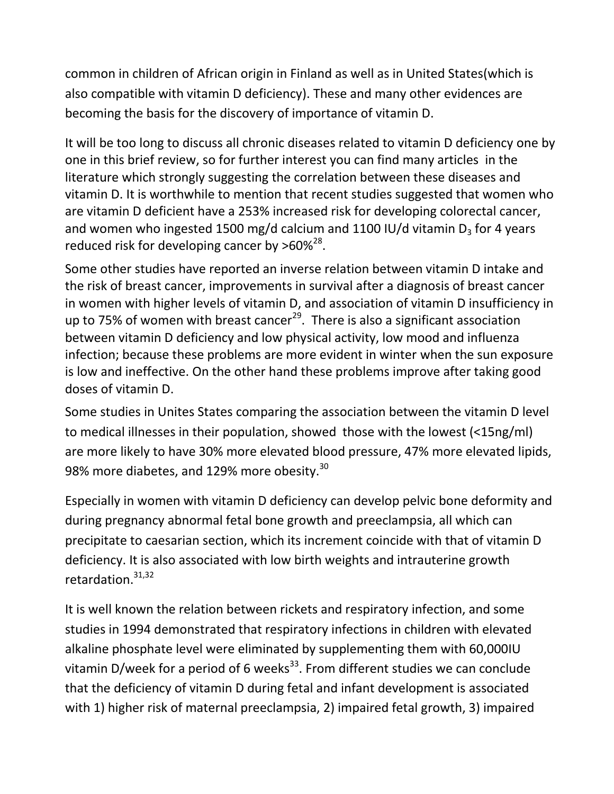common in children of African origin in Finland as well as in United States(which is also compatible with vitamin D deficiency). These and many other evidences are becoming the basis for the discovery of importance of vitamin D.

It will be too long to discuss all chronic diseases related to vitamin D deficiency one by one in this brief review, so for further interest you can find many articles in the literature which strongly suggesting the correlation between these diseases and vitamin D. It is worthwhile to mention that recent studies suggested that women who are vitamin D deficient have a 253% increased risk for developing colorectal cancer, and women who ingested 1500 mg/d calcium and 1100 IU/d vitamin  $D_3$  for 4 years reduced risk for developing cancer by  $>60\%^{28}$ .

Some other studies have reported an inverse relation between vitamin D intake and the risk of breast cancer, improvements in survival after a diagnosis of breast cancer in women with higher levels of vitamin D, and association of vitamin D insufficiency in up to 75% of women with breast cancer<sup>29</sup>. There is also a significant association between vitamin D deficiency and low physical activity, low mood and influenza infection; because these problems are more evident in winter when the sun exposure is low and ineffective. On the other hand these problems improve after taking good doses of vitamin D.

Some studies in Unites States comparing the association between the vitamin D level to medical illnesses in their population, showed those with the lowest (<15ng/ml) are more likely to have 30% more elevated blood pressure, 47% more elevated lipids, 98% more diabetes, and 129% more obesity. $^{30}$ 

Especially in women with vitamin D deficiency can develop pelvic bone deformity and during pregnancy abnormal fetal bone growth and preeclampsia, all which can precipitate to caesarian section, which its increment coincide with that of vitamin D deficiency. It is also associated with low birth weights and intrauterine growth retardation.<sup>31,32</sup>

It is well known the relation between rickets and respiratory infection, and some studies in 1994 demonstrated that respiratory infections in children with elevated alkaline phosphate level were eliminated by supplementing them with 60,000IU vitamin D/week for a period of 6 weeks<sup>33</sup>. From different studies we can conclude that the deficiency of vitamin D during fetal and infant development is associated with 1) higher risk of maternal preeclampsia, 2) impaired fetal growth, 3) impaired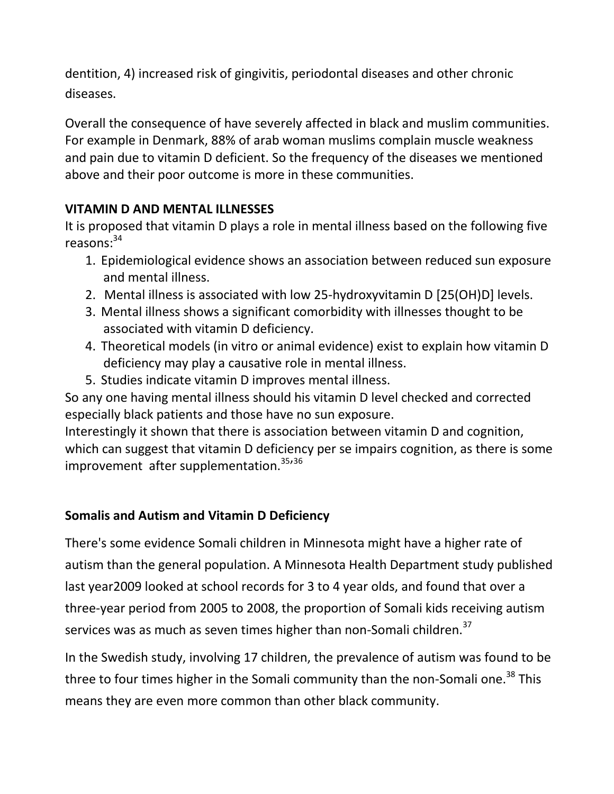dentition, 4) increased risk of gingivitis, periodontal diseases and other chronic diseases.

Overall the consequence of have severely affected in black and muslim communities. For example in Denmark, 88% of arab woman muslims complain muscle weakness and pain due to vitamin D deficient. So the frequency of the diseases we mentioned above and their poor outcome is more in these communities.

# **VITAMIN D AND MENTAL ILLNESSES**

It is proposed that vitamin D plays a role in mental illness based on the following five reasons: $34$ 

- 1. Epidemiological evidence shows an association between reduced sun exposure and mental illness.
- 2. Mental illness is associated with low 25-hydroxyvitamin D [25(OH)D] levels.
- 3. Mental illness shows a significant comorbidity with illnesses thought to be associated with vitamin D deficiency.
- 4. Theoretical models (in vitro or animal evidence) exist to explain how vitamin D deficiency may play a causative role in mental illness.
- 5. Studies indicate vitamin D improves mental illness.

So any one having mental illness should his vitamin D level checked and corrected especially black patients and those have no sun exposure.

Interestingly it shown that there is association between vitamin D and cognition, which can suggest that vitamin D deficiency per se impairs cognition, as there is some improvement after supplementation.<sup>35,36</sup>

# **Somalis and Autism and Vitamin D Deficiency**

There's some evidence Somali children in Minnesota might have a higher rate of autism than the general population. A Minnesota Health Department study published last year2009 looked at school records for 3 to 4 year olds, and found that over a three-year period from 2005 to 2008, the proportion of Somali kids receiving autism services was as much as seven times higher than non-Somali children.<sup>37</sup>

In the Swedish study, involving 17 children, the prevalence of autism was found to be three to four times higher in the Somali community than the non-Somali one.<sup>38</sup> This means they are even more common than other black community.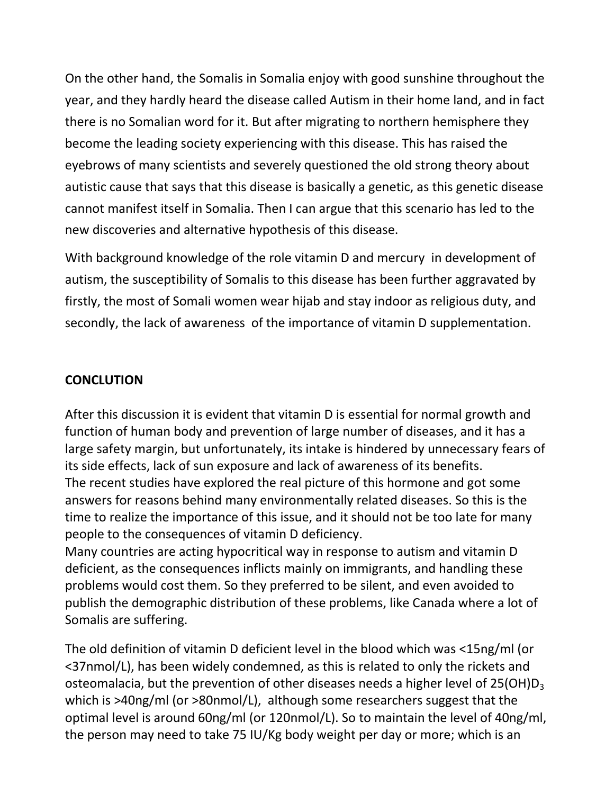On the other hand, the Somalis in Somalia enjoy with good sunshine throughout the year, and they hardly heard the disease called Autism in their home land, and in fact there is no Somalian word for it. But after migrating to northern hemisphere they become the leading society experiencing with this disease. This has raised the eyebrows of many scientists and severely questioned the old strong theory about autistic cause that says that this disease is basically a genetic, as this genetic disease cannot manifest itself in Somalia. Then I can argue that this scenario has led to the new discoveries and alternative hypothesis of this disease.

With background knowledge of the role vitamin D and mercury in development of autism, the susceptibility of Somalis to this disease has been further aggravated by firstly, the most of Somali women wear hijab and stay indoor as religious duty, and secondly, the lack of awareness of the importance of vitamin D supplementation.

#### **CONCLUTION**

After this discussion it is evident that vitamin D is essential for normal growth and function of human body and prevention of large number of diseases, and it has a large safety margin, but unfortunately, its intake is hindered by unnecessary fears of its side effects, lack of sun exposure and lack of awareness of its benefits. The recent studies have explored the real picture of this hormone and got some answers for reasons behind many environmentally related diseases. So this is the time to realize the importance of this issue, and it should not be too late for many people to the consequences of vitamin D deficiency.

Many countries are acting hypocritical way in response to autism and vitamin D deficient, as the consequences inflicts mainly on immigrants, and handling these problems would cost them. So they preferred to be silent, and even avoided to publish the demographic distribution of these problems, like Canada where a lot of Somalis are suffering.

The old definition of vitamin D deficient level in the blood which was <15ng/ml (or <37nmol/L), has been widely condemned, as this is related to only the rickets and osteomalacia, but the prevention of other diseases needs a higher level of  $25(OH)D<sub>3</sub>$ which is >40ng/ml (or >80nmol/L), although some researchers suggest that the optimal level is around 60ng/ml (or 120nmol/L). So to maintain the level of 40ng/ml, the person may need to take 75 IU/Kg body weight per day or more; which is an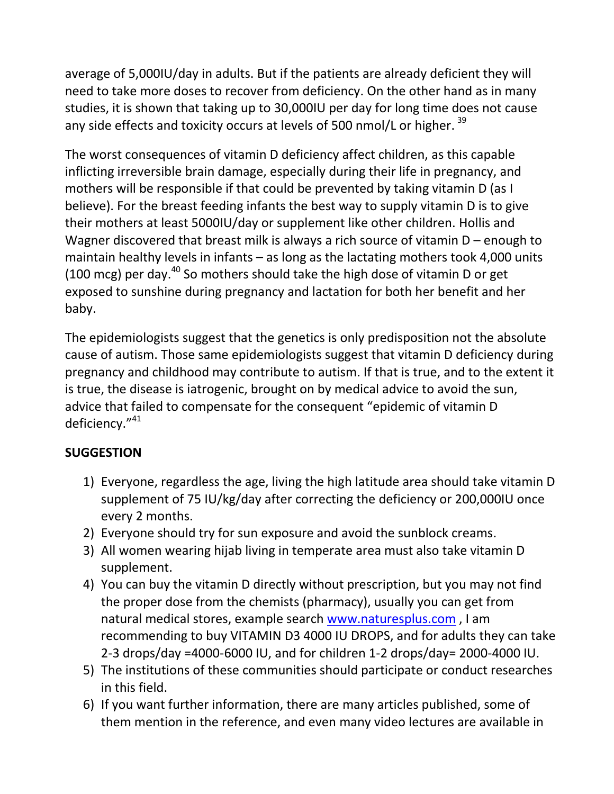average of 5,000IU/day in adults. But if the patients are already deficient they will need to take more doses to recover from deficiency. On the other hand as in many studies, it is shown that taking up to 30,000IU per day for long time does not cause any side effects and toxicity occurs at levels of 500 nmol/L or higher.<sup>39</sup>

The worst consequences of vitamin D deficiency affect children, as this capable inflicting irreversible brain damage, especially during their life in pregnancy, and mothers will be responsible if that could be prevented by taking vitamin D (as I believe). For the breast feeding infants the best way to supply vitamin D is to give their mothers at least 5000IU/day or supplement like other children. Hollis and Wagner discovered that breast milk is always a rich source of vitamin D – enough to maintain healthy levels in infants – as long as the lactating mothers took 4,000 units (100 mcg) per day. $40$  So mothers should take the high dose of vitamin D or get exposed to sunshine during pregnancy and lactation for both her benefit and her baby.

The epidemiologists suggest that the genetics is only predisposition not the absolute cause of autism. Those same epidemiologists suggest that vitamin D deficiency during pregnancy and childhood may contribute to autism. If that is true, and to the extent it is true, the disease is iatrogenic, brought on by medical advice to avoid the sun, advice that failed to compensate for the consequent "epidemic of vitamin D deficiency."<sup>41</sup>

#### **SUGGESTION**

- 1) Everyone, regardless the age, living the high latitude area should take vitamin D supplement of 75 IU/kg/day after correcting the deficiency or 200,000IU once every 2 months.
- 2) Everyone should try for sun exposure and avoid the sunblock creams.
- 3) All women wearing hijab living in temperate area must also take vitamin D supplement.
- 4) You can buy the vitamin D directly without prescription, but you may not find the proper dose from the chemists (pharmacy), usually you can get from natural medical stores, example search [www.naturesplus.com](http://www.naturesplus.com/) , I am recommending to buy VITAMIN D3 4000 IU DROPS, and for adults they can take 2-3 drops/day =4000-6000 IU, and for children 1-2 drops/day= 2000-4000 IU.
- 5) The institutions of these communities should participate or conduct researches in this field.
- 6) If you want further information, there are many articles published, some of them mention in the reference, and even many video lectures are available in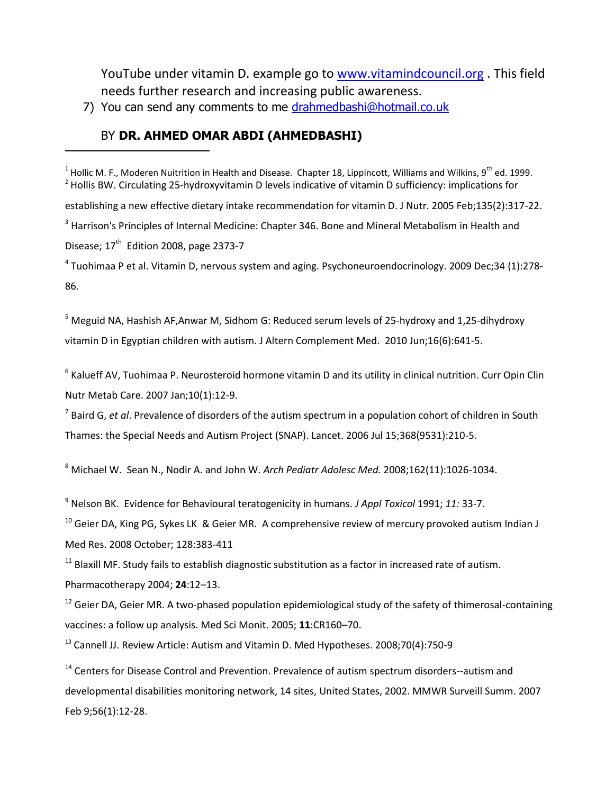YouTube under vitamin D. example go to [www.vitamindcouncil.org](http://www.vitamindcouncil.org/) . This field needs further research and increasing public awareness.

7) You can send any comments to me [drahmedbashi@hotmail.co.uk](mailto:drahmedbashi@hotmail.co.uk)

#### BY **DR. AHMED OMAR ABDI (AHMEDBASHI)**

<sup>1</sup> Hollic M. F., Moderen Nuitrition in Health and Disease. Chapter 18, Lippincott, Williams and Wilkins, 9<sup>th</sup> ed. 1999.  $2$  Hollis BW. Circulating 25-hydroxyvitamin D levels indicative of vitamin D sufficiency: implications for establishing a new effective dietary intake recommendation for vitamin D. J Nutr. 2005 Feb;135(2):317-22. <sup>3</sup> Harrison's Principles of Internal Medicine: Chapter 346. Bone and Mineral Metabolism in Health and Disease; 17<sup>th</sup> Edition 2008, page 2373-7

4 Tuohimaa P et al. Vitamin D, nervous system and aging. [Psychoneuroendocrinology.](javascript:AL_get(this,%20) 2009 Dec;34 (1):278- 86.

<sup>5</sup> Meguid NA, Hashish AF, Anwar M, Sidhom G: Reduced serum levels of 25-hydroxy and 1,25-dihydroxy vitamin D in Egyptian children with autism. J Altern Complement Med. 2010 Jun;16(6):641-5.

<sup>6</sup> Kalueff AV, Tuohimaa P. Neurosteroid hormone vitamin D and its utility in clinical nutrition. Curr Opin Clin Nutr Metab Care. 2007 Jan;10(1):12-9.

7 Baird G, *et al*. Prevalence of disorders of the autism spectrum in a population cohort of children in South Thames: the Special Needs and Autism Project (SNAP). Lancet. 2006 Jul 15;368(9531):210-5.

<sup>8</sup> Michael W. Sean N., Nodir A. and John W. *Arch Pediatr Adolesc Med.* 2008;162(11):1026-1034.

<sup>9</sup> Nelson BK. Evidence for Behavioural teratogenicity in humans. *J Appl Toxicol* 1991; *11:* 33-7.

 $10$  Geier DA, King PG, Sykes LK & Geier MR. A comprehensive review of mercury provoked autism Indian J Med Res. 2008 October; 128:383-411

 $11$  Blaxill MF. Study fails to establish diagnostic substitution as a factor in increased rate of autism.

Pharmacotherapy 2004; **24**:12–13.

 $\ddot{\phantom{a}}$ 

 $12$  Geier DA, Geier MR. A two-phased population epidemiological study of the safety of thimerosal-containing vaccines: a follow up analysis. Med Sci Monit. 2005; **11**:CR160–70.

<sup>13</sup> Cannell JJ. Review Article: Autism and Vitamin D[. Med Hypotheses.](javascript:AL_get(this,%20) 2008;70(4):750-9

<sup>14</sup> Centers for Disease Control and Prevention. Prevalence of autism spectrum disorders--autism and developmental disabilities monitoring network, 14 sites, United States, 2002. MMWR Surveill Summ. 2007 Feb 9;56(1):12-28.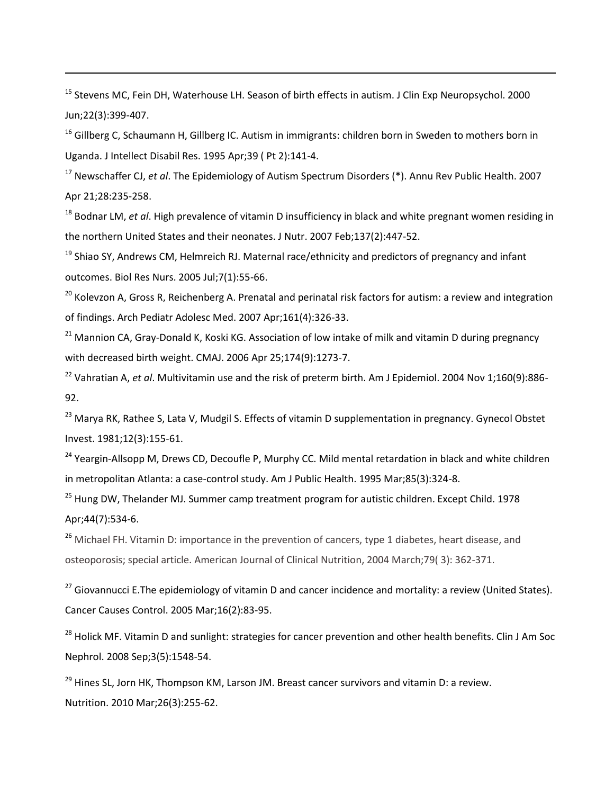<sup>15</sup> Stevens MC, Fein DH, Waterhouse LH. Season of birth effects in autism. J Clin Exp Neuropsychol. 2000 Jun;22(3):399-407.

1

<sup>16</sup> Gillberg C, Schaumann H, Gillberg IC. Autism in immigrants: children born in Sweden to mothers born in Uganda. J Intellect Disabil Res. 1995 Apr;39 ( Pt 2):141-4.

<sup>17</sup> Newschaffer CJ, *et al*. The Epidemiology of Autism Spectrum Disorders (\*). Annu Rev Public Health. 2007 Apr 21;28:235-258.

<sup>18</sup> Bodnar LM, *et al*. High prevalence of vitamin D insufficiency in black and white pregnant women residing in the northern United States and their neonates. J Nutr. 2007 Feb;137(2):447-52.

 $19$  Shiao SY, Andrews CM, Helmreich RJ. Maternal race/ethnicity and predictors of pregnancy and infant outcomes. Biol Res Nurs. 2005 Jul;7(1):55-66.

<sup>20</sup> Kolevzon A, Gross R, Reichenberg A. Prenatal and perinatal risk factors for autism: a review and integration of findings. Arch Pediatr Adolesc Med. 2007 Apr;161(4):326-33.

 $21$  Mannion CA, Gray-Donald K, Koski KG. Association of low intake of milk and vitamin D during pregnancy with decreased birth weight. CMAJ. 2006 Apr 25;174(9):1273-7.

<sup>22</sup> Vahratian A, *et al*. Multivitamin use and the risk of preterm birth. Am J Epidemiol. 2004 Nov 1;160(9):886- 92.

<sup>23</sup> Marva RK, Rathee S, Lata V, Mudgil S. Effects of vitamin D supplementation in pregnancy. Gynecol Obstet Invest. 1981;12(3):155-61.

<sup>24</sup> Yeargin-Allsopp M, Drews CD, Decoufle P, Murphy CC. Mild mental retardation in black and white children in metropolitan Atlanta: a case-control study. Am J Public Health. 1995 Mar;85(3):324-8.

<sup>25</sup> Hung DW, Thelander MJ. Summer camp treatment program for autistic children. Except Child. 1978 Apr;44(7):534-6.

<sup>26</sup> Michael FH. Vitamin D: importance in the prevention of cancers, type 1 diabetes, heart disease, and osteoporosis; special article. American Journal of Clinical Nutrition, 2004 March;79( 3): 362-371.

<sup>27</sup> [Giovannucci E.](http://www.ncbi.nlm.nih.gov/pubmed?term=%22Giovannucci%20E%22%5BAuthor%5D)The epidemiology of vitamin D and cancer incidence and mortality: a review (United States). [Cancer Causes Control.](javascript:AL_get(this,%20) 2005 Mar;16(2):83-95.

<sup>28</sup> [Holick MF.](http://www.ncbi.nlm.nih.gov/pubmed?term=%22Holick%20MF%22%5BAuthor%5D) Vitamin D and sunlight: strategies for cancer prevention and other health benefits. Clin J Am Soc [Nephrol.](javascript:AL_get(this,%20) 2008 Sep;3(5):1548-54.

 $^{29}$  [Hines SL,](http://www.ncbi.nlm.nih.gov/pubmed?term=%22Hines%20SL%22%5BAuthor%5D) [Jorn HK,](http://www.ncbi.nlm.nih.gov/pubmed?term=%22Jorn%20HK%22%5BAuthor%5D) [Thompson KM,](http://www.ncbi.nlm.nih.gov/pubmed?term=%22Thompson%20KM%22%5BAuthor%5D) [Larson JM.](http://www.ncbi.nlm.nih.gov/pubmed?term=%22Larson%20JM%22%5BAuthor%5D) Breast cancer survivors and vitamin D: a review. [Nutrition.](javascript:AL_get(this,%20) 2010 Mar;26(3):255-62.